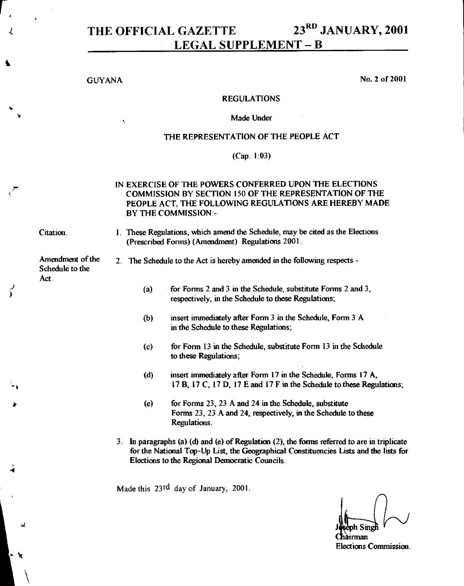# THE OFFICIAL GAZETTE 23<sup>RD</sup> JANUARY, 2001 LEGAL SUPPLEMENT - B

GUYANA No. 2 of 2001

# REGULATIONS

### Made Under

### THE REPRESENTATION OF THE PEOPLE ACT

### (Cap. 1:03)

# IN EXERCISE OF THE POWERS CONFERRED UPON THE ELECTIONS COMMISSION BY SECTION 150 OF THE REPRESENTATION OF THE PEOPLE ACT, THE FOLLOWING REGULATIONS ARE HEREBY MADE BY THE COMMISSION:-

i :

Citation. 1. These Regulations, which amend the Schedule, may be cited as the Elections (Prescribed Forms) (Amendment) Regulations 2001.

Amendment of the Schedule to the Act.

# 2. The Schedule to the Act is hereby amended in the following respects -

- (a) for Forms 2 and 3 in the Schedule, substitute Forms 2 and 3, respectively, in the Schedule to these Regulations;
- (b) insert immediately after Form 3 in the Schedule, Form 3 A in the Schedule to these Regulations;
- (c) for Form 13 in the Schedule, substitute Form 13 in the Schedule to these Regulations;
- (d) insert immediately after Form 17 in the Schedule, Forms 17 A, 17 B, 17 C, 17 D, 17 E and 17 F in the Schedule to these Regulations;
- (e) for Forms 23, 23 A and 24 in the Schedule, substitute Forms 23, 23 A and 24, respectively, in the Schedule to these Regulations.
- 3. In paragraphs (a) (d) and (e) of Regulation (2), the forms referred to are in triplicate for the National Top-Up List, the Geographical Constituencies Lists and the lists for Elections to the Regional Democratic Councils.

Made this 23<sup>rd</sup> day of January, 2001.

airman Elections Commission.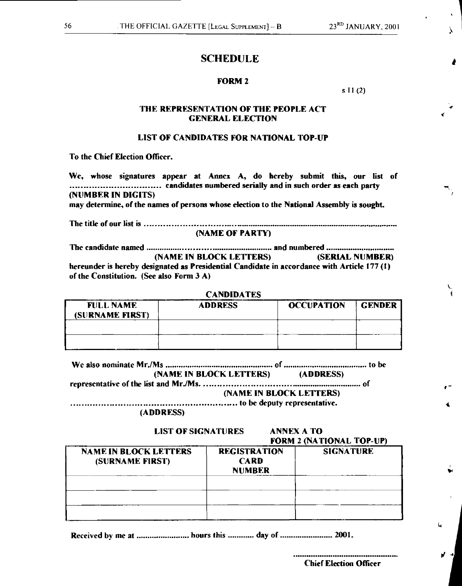a

 $\lambda$ 

# **SCHEDULE**

### **FORM 2**

\$ **11** (2)

### **THE REPRESENTATION OF THE PEOPLE ACT GENERAL ELECTION**

### **LIST OF CANDIDATES FOR NATIONAL TOP-UP**

**To the Chief Election Officer.** 

**We, whose signatures appear at Annex A, do hereby submit this, our list of candidates numbered serially and in such order as each party (NUMBER IN DIGITS)** 

**may determine, of the names of persons whose election to the National Assembly is sought.** 

**The title of our list is** 

**(NAME OF PARTY)** 

**The candidate named and numbered (NAME IN BLOCK LETTERS) (SERIAL NUMBER) hereunder is hereby designated as Presidential Candidate in accordance with Article 177 (1) of the Constitution. (See also Form 3 A)** 

**CANDIDATES FULL NAME (SURNAME FIRST) ADDRESS OCCUPATION GENDER** 

| (NAME IN BLOCK LETTERS) | (ADDRESS) |
|-------------------------|-----------|

**representative of the list and MrJMs. of** 

**(NAME IN BLOCK LETTERS)** 

**to be deputy representative.**  

**(ADDRESS)** 

**LIST OF SIGNATURES ANNEX A TO** 

# **FORM 2 (NATIONAL TOP-UP)**

| <b>NAME IN BLOCK LETTERS</b><br>(SURNAME FIRST) | <b>REGISTRATION</b><br><b>CARD</b><br><b>NUMBER</b> | <b>SIGNATURE</b> |
|-------------------------------------------------|-----------------------------------------------------|------------------|
|                                                 |                                                     |                  |
|                                                 |                                                     |                  |
|                                                 |                                                     |                  |

Received by me at ......................... hours this ............ day of ......................... 2001.

**Chief Election Officer** 

 $\mathbf{u}$ 

of -Ai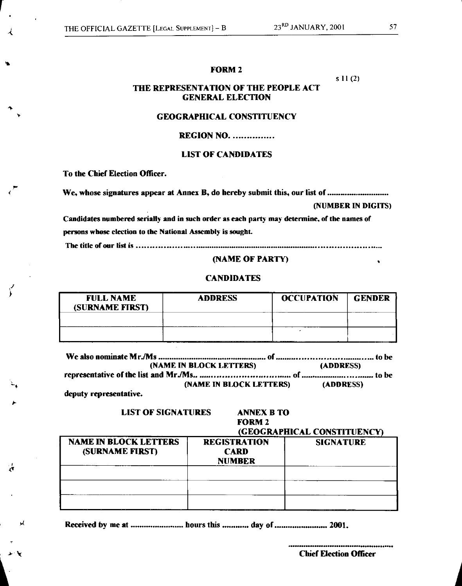# **FORM 2**

**s 11** (2)

# **THE REPRESENTATION OF THE PEOPLE ACT GENERAL ELECTION**

### **GEOGRAPHICAL CONSTITUENCY**

# **REGION NO.**

# **LIST OF CANDIDATES**

**To the Chief Election Officer.** 

Is

ц.

**We, whose signatures appear at Annex B, do hereby submit this, our list of** 

### **(NUMBER IN DIGITS)**

**Candidates numbered serially and in such order as each party may determine, of the names of persons whose election to the National Assembly is sought.** 

**The title of our list is** 

# **(NAME OF PARTY)**

# **CANDIDATES**

| <b>FULL NAME</b><br>(SURNAME FIRST) | <b>ADDRESS</b> | <b>OCCUPATION</b> | <b>GENDER</b> |
|-------------------------------------|----------------|-------------------|---------------|
|                                     |                |                   |               |
|                                     |                |                   |               |

| (NAME IN BLOCK LETTERS)                                                                                         |                         | <b>(ADDRESS)</b> |
|-----------------------------------------------------------------------------------------------------------------|-------------------------|------------------|
|                                                                                                                 |                         |                  |
| the contract of the contract of the contract of the contract of the contract of the contract of the contract of | (NAME IN BLOCK LETTERS) | (ADDRESS)        |

**deputy representative.** 

# **LIST OF SIGNATURES ANNEX B TO**

### **FORM 2**

# (**GEOGRAPHICAL CONSTITUENC**

| <b>NAME IN BLOCK LETTERS</b><br>(SURNAME FIRST) | <b>REGISTRATION</b><br><b>CARD</b><br><b>NUMBER</b> | <b>SIGNATURE</b> |
|-------------------------------------------------|-----------------------------------------------------|------------------|
|                                                 |                                                     |                  |
|                                                 |                                                     |                  |
|                                                 |                                                     |                  |

Received by me at *manual measure hours this manual* day of *manual measure 2001*.

**Chief Election Officer**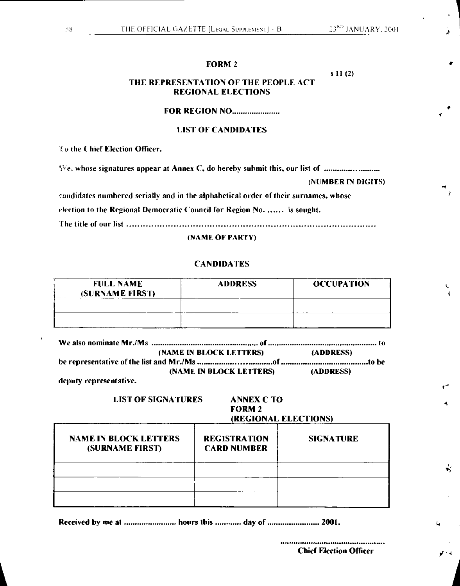t

4

 $\mathbf{N}$ 

 $\mathcal{F}(4)$ 

# **FORM 2**

s 11 (2)

# **THE REPRESENTATION OF THE PEOPLE ACT REGIONAL ELECTIONS**

# **FOR REGION NO** *<u>manual*</u>

# **1.IST OF CANDIDATES**

**1 the Chief Election Officer.** 

We. whose signatures appear at Annex C, do hereby submit this, our list of

(NUMBER IN DIGITS)

candidates numbered serially and in the alphabetical order of their surnames, whose

election to the Regional Democratic Council for Region No. ...... is sought.

The title of our list

(NAME OF PARTY)

# **CANDIDATES**

| <b>FULL NAME</b><br>(SURNAME FIRST) | <b>ADDRESS</b> | <b>OCCUPATION</b> |
|-------------------------------------|----------------|-------------------|
|                                     |                |                   |
| ___________                         |                |                   |

|                        | (NAME IN BLOCK LETTERS)        | (ADDRESS)               |
|------------------------|--------------------------------|-------------------------|
|                        |                                |                         |
|                        | <b>(NAME IN BLOCK LETTERS)</b> | <b><i>(ADDRESS)</i></b> |
| deputy representative. |                                |                         |

# **LIST OF SIGNATURES ANNEX C TO FORM 2**  (**REGIONAL ELECTIONS**

| <b>NAME IN BLOCK LETTERS</b><br>(SURNAME FIRST) | <b>REGISTRATION</b><br><b>CARD NUMBER</b> | <b>SICNATURE</b> |
|-------------------------------------------------|-------------------------------------------|------------------|
|                                                 |                                           |                  |
|                                                 |                                           |                  |
|                                                 |                                           |                  |

**1 <sup>A</sup>**

Received by me at ......................... hours this ............. day of ........................ 2001.

**Chief Election Officer**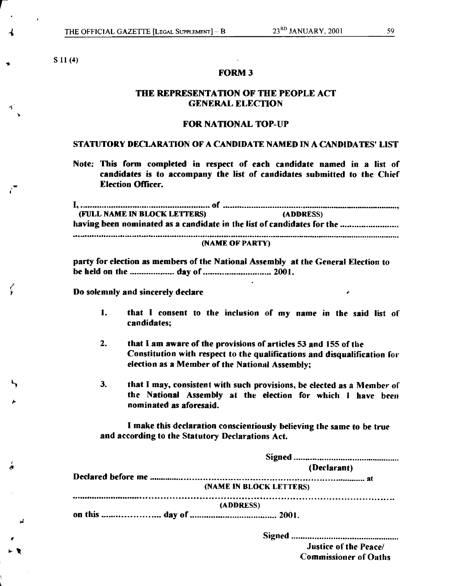**S 11** (4)

1)

 $\zeta$ 

### **FORM 3**

# **THE REPRESENTATION OF THE PEOPLE ACT GENERAL ELECTION**

# **FOR NATIONAL TOP-UP**

# **STATUTORY DECLARATION OF A CANDIDATE NAMED IN A CANDIDATES' LIST**

**Note: This form completed in respect of each candidate named in a list of candidates is to accompany the list of candidates submitted to the Chief Election Officer.** 

| (FULL NAME IN BLOCK LETTERS)                                           | (ADDRESS) |  |
|------------------------------------------------------------------------|-----------|--|
| having been nominated as a candidate in the list of candidates for the |           |  |
|                                                                        |           |  |
| (NAME OF PARTY)                                                        |           |  |

**party for election as members of the National Assembly at the General Election to**  be held on the ................... day of ............................. 2001.

**Do solemnly and sincerely declare** 

- **1. that I consent to the inclusion of my name in the said list of candidates;**
- **2. that I am aware of the provisions of articles 53 and 155 of the Constitution with respect to the qualifications and disqualification for election as a Member of the National Assembly;**
- **3. that I may, consistent with such provisions, be elected as a Member of the National Assembly at the election for which I have been nominated as aforesaid.**

**I make this declaration conscientiously believing the same to be true and according to the Statutory Declarations Act.** 

| (Declarant)             |
|-------------------------|
|                         |
| (NAME IN BLOCK LETTERS) |
| (ADDRESS)               |
|                         |
|                         |

**Signed Justice of the Peace/ Commissioner of Oaths**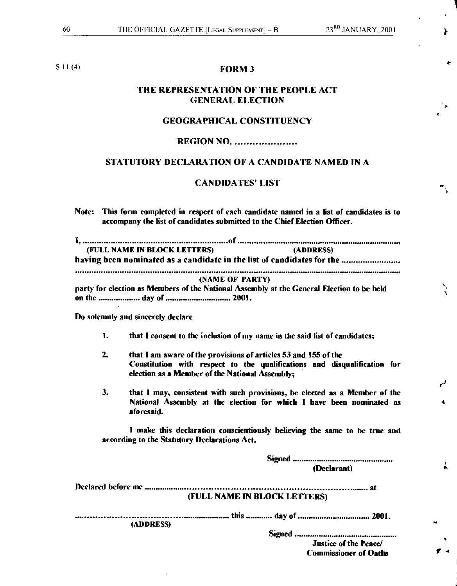# **S 11 (4) FORM 3**

# **THE REPRESENTATION OF THE PEOPLE ACT GENERAL ELECTION**

### **GEOGRAPHICAL CONSTITUENCY**

# **REGION NO.**

# **STATUTORY DECLARATION OF A CANDIDATE NAMED IN A**

# **CANDIDATES' LIST**

**Note: This form completed in respect of each candidate named in a list of candidates is to accompany the list of candidates submitted to the Chief Election Officer.** 

| (FULL NAME IN BLOCK LETTERS)                                                              | (ADDRESS) |  |
|-------------------------------------------------------------------------------------------|-----------|--|
| having been nominated as a candidate in the list of candidates for the                    |           |  |
|                                                                                           |           |  |
| (NAME OF PARTY)                                                                           |           |  |
| party for election as Members of the National Assembly at the General Election to be held |           |  |
|                                                                                           |           |  |

**Do solemnly and sincerely declare** 

- **1. that I consent to the inclusion of my name in the said list of candidates;**
- **2. that I am aware of the provisions of articles 53 and 155 of the Constitution with respect to the qualifications and disqualification for election as a Member of the National Assembly;**
- **3. that I may, consistent with such provisions, be elected as a Member of the National Assembly at the election for which I have been nominated as aforesaid.**

**I make this declaration conscientiously believing the same to be true and according to the Statutory Declarations Act.** 

> **Signed (Declarant)**

 $\epsilon_{\parallel}$ 

۰

े

**f** 

**Declared before me at (FULL NAME IN BLOCK LETTERS)** 

**this model of the offermances of the Contract Contract Contract Contract Contract Contract Contract Contract Co (ADDRESS)** 

**Signed** 

**Justice of the Peace/ Commissioner of Oaths**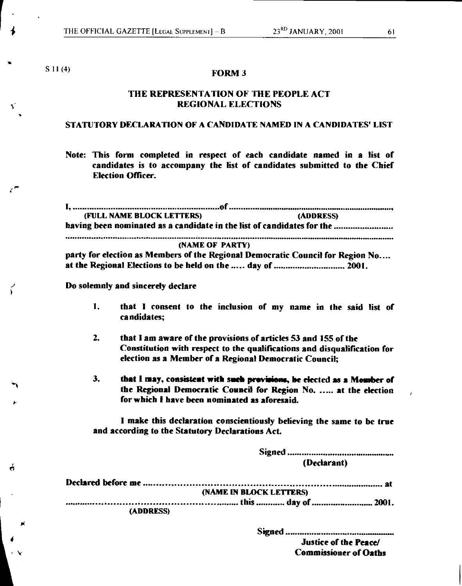$\bullet$ 

A.

ŕ

ó

# S 11 (4) **FORM 3**

# **THE REPRESENTATION OF THE PEOPLE ACT REGIONAL ELECTIONS**

# **STATUTORY DECLARATION OF A CANDIDATE NAMED IN A CANDIDATES' LIST**

**Note: This form completed in respect of each candidate named in a list of candidates is to accompany the list of candidates submitted to the Chief Election Officer.** 

| (FULL NAME BLOCK LETTERS)                                                      | (ADDRESS) |
|--------------------------------------------------------------------------------|-----------|
| having been nominated as a candidate in the list of candidates for the         |           |
| (NAME OF PARTY)                                                                |           |
| party for election as Members of the Regional Democratic Council for Region No |           |
| at the Regional Elections to be held on the  day of  2001.                     |           |
| Do solemnly and sincerely declare                                              |           |

- **1. that I consent to the inclusion of my name in the said list of candidates;**
- **2. that I am aware of the provisions of articles 53 and 155 of the Constitution with respect to the qualifications and disqualification for election as a Member of a Regional Democratic Council;**
- **3. that I may, consistent with snob previsions, be elected as a Member of the Regional Democratic Council for Region No...... at the election for which I have been nominated as aforesaid.**

**I make this declaration conscientiously believing the same to be true and according to the Statutory Declarations Act.** 

|           | (Declarant)             |
|-----------|-------------------------|
|           |                         |
|           | (NAME IN BLOCK LETTERS) |
|           |                         |
| (ADDRESS) |                         |

**Signed** 

**Justice of the Peace/ Commissioner of Oaths**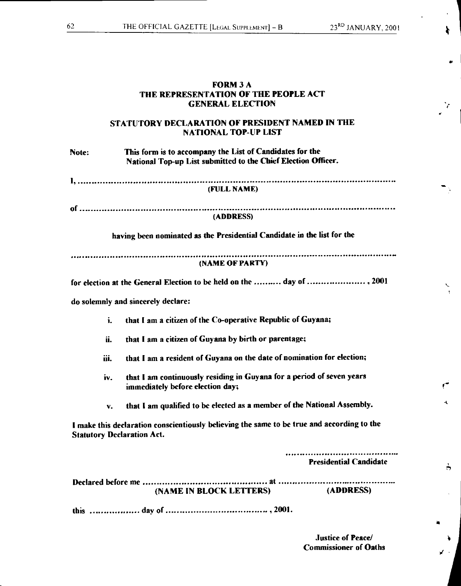Ł

 $\mathbf{H}$ 

# **FORM 3 A THE REPRESENTATION OF THE PEOPLE ACT GENERAL ELECTION STATUTORY DECLARATION OF PRESIDENT NAMED IN THE NATIONAL TOP-UP LIST Note: This form is to accompany the List of Candidates for the National Top-up List submitted to the Chief Election Officer. (FULL NAME) of (ADDRESS) having been nominated as the Presidential Candidate in the list for the (NAME OF PARTY)**  for election at the General Election to be held on the .......... day of ...................... , 2001 **do solemnly and sincerely declare: i. that I am a citizen of the Co-operative Republic of Guyana;**

- **ii. that I am a citizen of Guyana by birth or parentage;**
- **iii. that I am a resident of Guyana on the date of nomination for election;**
- **iv. that I am continuously residing in Guyana for a period of seven years immediately before election day;**
- **v. that I am qualified to be elected as a member of the National Assembly.**

**I make this declaration conscientiously believing the same to be true and according to the Statutory Declaration Act.** 

|                                | <b>Presidential Candidate</b> |
|--------------------------------|-------------------------------|
| <b>(NAME IN BLOCK LETTERS)</b> | (ADDRESS)                     |
|                                |                               |

**Justice of Peace/ Commissioner of Oaths**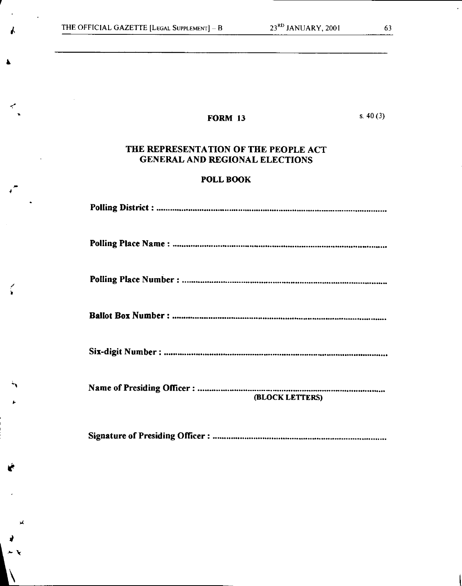$\blacktriangle$ 

۸

4

E

*b(* 

# **FORM 13** s. 40 (3)

# **THE REPRESENTATION OF THE PEOPLE ACT GENERAL AND REGIONAL ELECTIONS**

# **POLL BOOK**

| (BLOCK LETTERS) |
|-----------------|

**Signature of Presiding Officer :**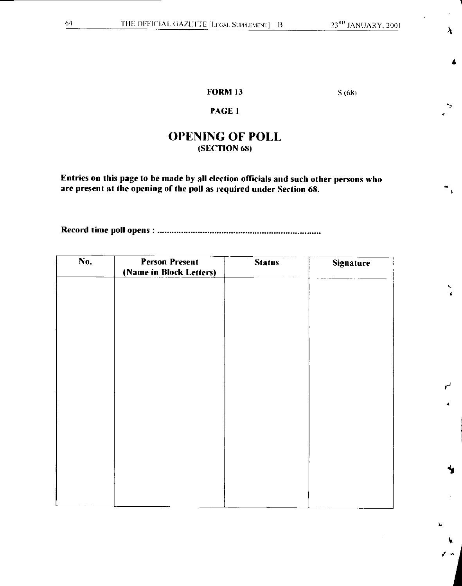$\lambda$ 

4

 $\overline{\mathbf{A}}$ 

 $\ddot{}$ 

# **FORM 13** S (68)

# **PAGE 1**

# **OPENING OF POLL (SECTION 68)**

**Entries on this page to be made by all election officials and such other persons who are present at the opening of the poll as required under Section 68.** 

**Record time poll opens :** 

| No. | Person Present<br>(Name in Block Letters) | <b>Status</b> | <b>Signature</b> |
|-----|-------------------------------------------|---------------|------------------|
|     |                                           |               |                  |
|     |                                           |               |                  |
|     |                                           |               |                  |
|     |                                           |               |                  |
|     |                                           |               |                  |
|     |                                           |               |                  |
|     |                                           |               |                  |
|     |                                           |               |                  |
|     |                                           |               |                  |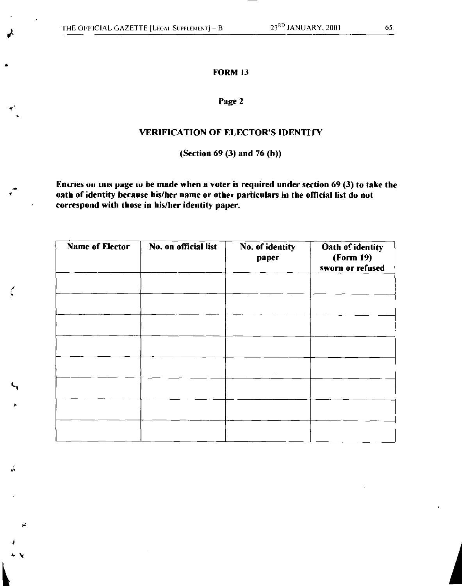gt

ti

 $\mathbf{r}$ 

Μ.

# **FORM 13**

# **Page 2**

# **VERIFICATION OF ELECTOR'S IDENTITY**

**(Section 69 (3) and 76 (b))** 

Entries on tills page to be made when a voter is required under section 69 (3) to take the **oath of identity because his/her name or other particulars in the official list do not correspond with those in his/her identity paper.** 

| <b>Name of Elector</b> | No. on official list | No. of identity<br>paper | Oath of identity<br>(Form 19)<br>sworn or refused |
|------------------------|----------------------|--------------------------|---------------------------------------------------|
|                        |                      |                          |                                                   |
|                        |                      |                          |                                                   |
|                        |                      |                          |                                                   |
|                        |                      |                          |                                                   |
|                        |                      | $\sim$                   |                                                   |
|                        |                      |                          |                                                   |
|                        |                      |                          |                                                   |
|                        |                      |                          |                                                   |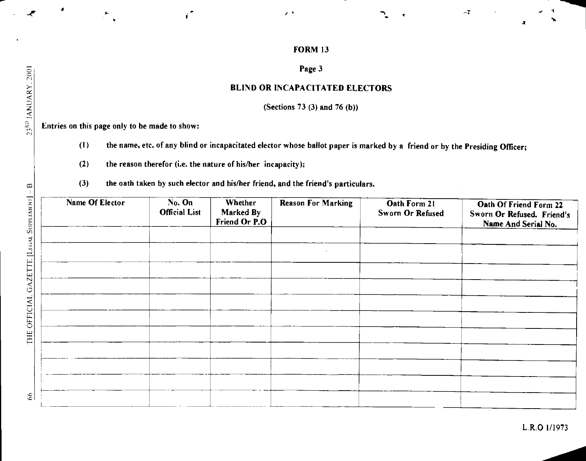$\mathbb{Z}^{\times}$ 

# Page 3

# BLIND OR INCAPACITATED ELECTORS

(Sections 73 (3) and 76 (b))

Entries on this page only to be made to show:

- (I) the name, etc. of any blind or incapacitated elector whose ballot paper is marked by a friend or by the Presiding Officer;
- (2) the reason therefor (i.e. the nature of his/her incapacity);

ď.

(3) the oath taken by such elector and his/her friend, and the friend's particulars.

| Name Of Elector | No. On<br><b>Official List</b> | Whether<br>Marked By<br>Friend Or P.O | <b>Reason For Marking</b> | Oath Form 21<br>Sworn Or Refused | Oath Of Friend Form 22<br>Sworn Or Refused. Friend's<br>Name And Serial No. |
|-----------------|--------------------------------|---------------------------------------|---------------------------|----------------------------------|-----------------------------------------------------------------------------|
|                 |                                |                                       |                           |                                  |                                                                             |
|                 |                                |                                       |                           |                                  |                                                                             |
|                 |                                |                                       |                           |                                  |                                                                             |
|                 |                                |                                       |                           |                                  |                                                                             |
|                 |                                |                                       |                           |                                  |                                                                             |
|                 |                                |                                       |                           |                                  |                                                                             |
|                 |                                |                                       |                           |                                  |                                                                             |
|                 |                                |                                       |                           |                                  |                                                                             |
|                 |                                |                                       |                           |                                  |                                                                             |
|                 |                                |                                       |                           |                                  |                                                                             |
|                 |                                |                                       |                           |                                  |                                                                             |

-e

z

Ū.

THE OFFICIAL GAZET

 $66$ 

 $\overline{A}$ 

 $\blacksquare$ 

L.R.O 1/1973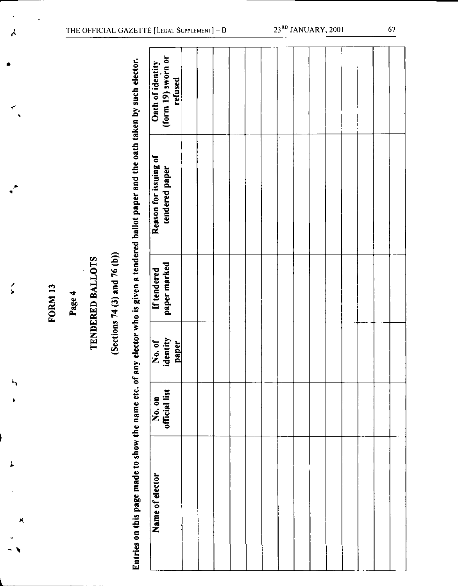# **TENDERED BALLOTS**

# **(Sections 74 (3)and 76 (b))**

| لم                   |         |        |                         |                              |                                                                                                                                         | THE OFFICIAL GAZETTE [LEGAL SUPPLEMENT] $- B$     |  |  |  | 23 <sup>RD</sup> JANUARY, 2001 |  |  | 67 |
|----------------------|---------|--------|-------------------------|------------------------------|-----------------------------------------------------------------------------------------------------------------------------------------|---------------------------------------------------|--|--|--|--------------------------------|--|--|----|
| $\blacktriangledown$ |         |        |                         |                              |                                                                                                                                         | (form 19) sworn or<br>Oath of identity<br>refused |  |  |  |                                |  |  |    |
|                      |         |        |                         |                              |                                                                                                                                         | Reason for issuing of<br>tendered paper           |  |  |  |                                |  |  |    |
|                      | FORM 13 | Page 4 | <b>TENDERED BALLOTS</b> | (Sections 74 (3) and 76 (b)) |                                                                                                                                         | paper marked<br>If tendered                       |  |  |  |                                |  |  |    |
|                      |         |        |                         |                              |                                                                                                                                         | identity<br>No. of<br><b>paper</b><br>۰           |  |  |  |                                |  |  |    |
| 5<br>ł               |         |        |                         |                              |                                                                                                                                         | official list<br>No. on                           |  |  |  |                                |  |  |    |
| ×                    |         |        |                         |                              | Entries on this page made to show the name etc. of any elector who is given a tendered ballot paper and the oath taken by such elector. | Name of elector                                   |  |  |  |                                |  |  |    |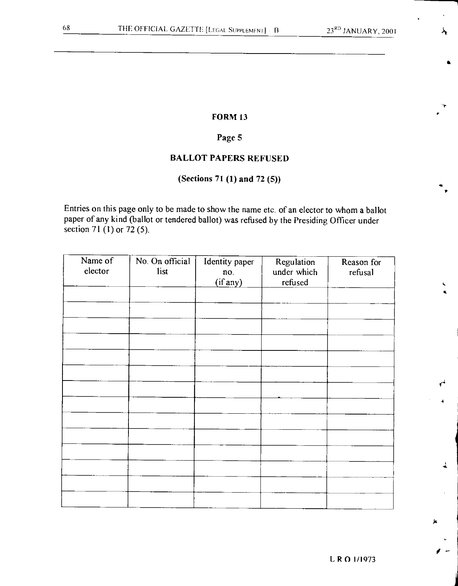# FORM 13

# Page 5

# BALLOT PAPERS REFUSED

# (Sections 71 (1) and 72 (5))

Entries on this page only to be made to show the name etc of an elector to whom a ballot paper of any kind (ballot or tendered ballot) was refused by the Presiding Officer under section 71 (1) or 72 (5).

| Name of<br>elector | No. On official<br>list | Identity paper<br>no.<br>(if any) | Regulation<br>under which<br>$\rm{refused}$ | Reason for<br>refusal |
|--------------------|-------------------------|-----------------------------------|---------------------------------------------|-----------------------|
|                    |                         |                                   |                                             |                       |
|                    |                         |                                   |                                             |                       |
|                    |                         |                                   |                                             |                       |
|                    |                         |                                   |                                             |                       |
|                    |                         |                                   |                                             |                       |
|                    |                         |                                   |                                             |                       |
|                    |                         |                                   |                                             |                       |
|                    |                         |                                   |                                             |                       |
|                    |                         |                                   |                                             |                       |
|                    |                         |                                   |                                             |                       |
|                    |                         |                                   |                                             |                       |
|                    |                         |                                   |                                             |                       |
|                    |                         |                                   |                                             |                       |

E **R** 0 1/1973

**4** 

ı

**K**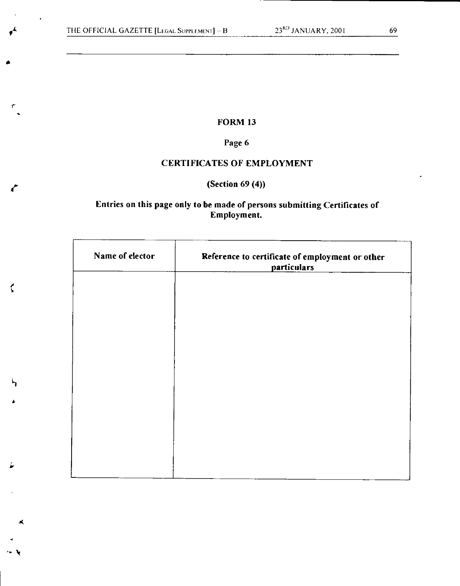r

Li

 $\zeta$ 

1.

# FORM 13

# Page 6

# CERTIFICATES OF EMPLOYMENT

# (Section 69 (4))

# Entries on this page only to be made of persons submitting Certificates of Employment.

| Name of elector | Reference to certificate of employment or other<br>particulars |
|-----------------|----------------------------------------------------------------|
|                 |                                                                |
|                 |                                                                |
|                 |                                                                |
|                 |                                                                |
|                 |                                                                |
|                 |                                                                |
|                 |                                                                |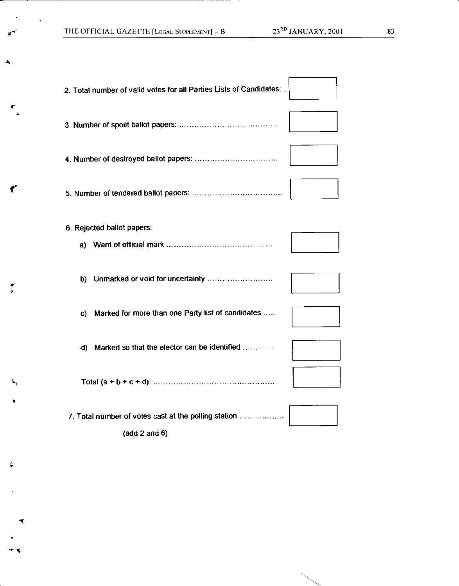t-

←

 $\tilde{\mathbf{r}}$ 

¥™

**-V** 

 $\star$   $\star$ 

í,

| 2. Total number of valid votes for all Parties Lists of Candidates: |
|---------------------------------------------------------------------|
|                                                                     |
|                                                                     |
|                                                                     |
| 6. Rejected ballot papers:                                          |
|                                                                     |
| Marked for more than one Party list of candidates<br>C)             |
| d) Marked so that the elector can be identified                     |
|                                                                     |
| 7. Total number of votes cast at the polling station                |

(add 2 and 6)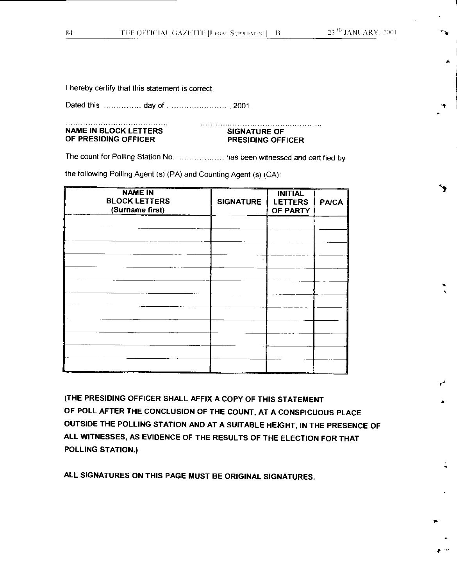$\ddot{\mathbf{r}}$ 

re

•

I hereby certify that this statement is correct.

Dated this day of 2001.

### **NAME IN BLOCK LETTERS SIGNATURE OF OF PRESIDING OFFICER PRESIDING OFFICER**

The count for Polling Station No. ....................... has been witnessed and certified by

the following Polling Agent (s) (PA) and Counting Agent (s) (CA):

| <b>NAME IN</b><br><b>BLOCK LETTERS</b><br>(Surname first) | <b>SIGNATURE</b> | <b>INITIAL</b><br><b>LETTERS</b><br>OF PARTY | <b>PA/CA</b> |
|-----------------------------------------------------------|------------------|----------------------------------------------|--------------|
|                                                           |                  |                                              |              |
|                                                           |                  |                                              |              |
|                                                           | ٠                |                                              |              |
|                                                           |                  |                                              |              |
|                                                           |                  |                                              |              |
|                                                           |                  |                                              |              |
|                                                           |                  |                                              |              |
|                                                           |                  |                                              |              |

**(THE PRESIDING OFFICER SHALL AFFIX A COPY OF THIS STATEMENT OF POLL AFTER THE CONCLUSION OF THE COUNT, AT A CONSPICUOUS PLACE OUTSIDE THE POLLING STATION AND AT A SUITABLE HEIGHT, IN THE PRESENCE OF ALL WITNESSES, AS EVIDENCE OF THE RESULTS OF THE ELECTION FOR THAT POLLING STATION.)** 

**ALL SIGNATURES ON THIS PAGE MUST BE ORIGINAL SIGNATURES.**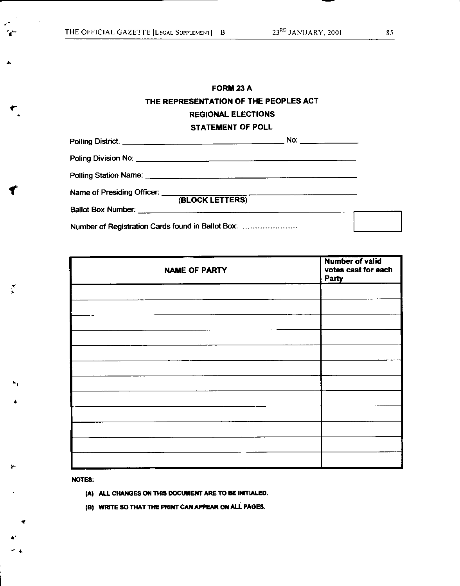r

 $\overline{\mathbf{f}}$ 

 $\tilde{\mathcal{C}}$ 

# **FORM 23 A THE REPRESENTATION OF THE PEOPLES ACT REGIONAL ELECTIONS STATEMENT OF POLL**

|                                                                                                                 | No: $\qquad \qquad$ |  |
|-----------------------------------------------------------------------------------------------------------------|---------------------|--|
|                                                                                                                 |                     |  |
|                                                                                                                 |                     |  |
| Name of Presiding Officer: (BLOCK LETTERS)                                                                      |                     |  |
| Ballot Box Number: 2008 2009 2010 2020 2020 2020 2021 2022 2021 2022 2021 2022 2021 2022 2022 2021 2021 2022 20 |                     |  |
| Number of Registration Cards found in Ballot Box:                                                               |                     |  |

| <b>NAME OF PARTY</b> | <b>Number of valid</b><br>votes cast for each<br>Party |
|----------------------|--------------------------------------------------------|
|                      |                                                        |
|                      |                                                        |
|                      |                                                        |
|                      |                                                        |
|                      |                                                        |
|                      |                                                        |
|                      |                                                        |
|                      |                                                        |
|                      |                                                        |
|                      |                                                        |
|                      |                                                        |
|                      |                                                        |

**NOTES:** 

**(A) ALL CHANGES ON THIS DOCUMENT ARE TO BE INITIALED.** 

**(B) WRITE SO THAT THE PRINT CAN APPEAR ON ALL PAGES.**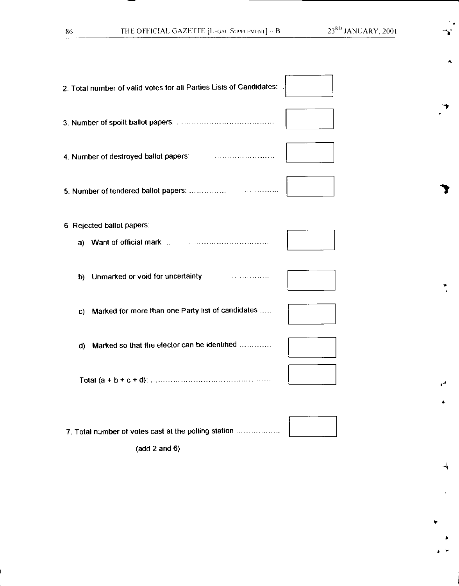**A** 

 $\ddot{\mathbf{r}}$ 

 $\overline{\textbf{A}}$ 

**r-** 

| 2. Total number of valid votes for all Parties Lists of Candidates: |  |
|---------------------------------------------------------------------|--|
|                                                                     |  |
|                                                                     |  |
|                                                                     |  |
| 6. Rejected ballot papers:                                          |  |
| b)                                                                  |  |
| Marked for more than one Party list of candidates<br>C)             |  |
| Marked so that the elector can be identified<br>d)                  |  |
|                                                                     |  |
| 7. Total number of votes cast at the polling station                |  |

(add 2 and 6)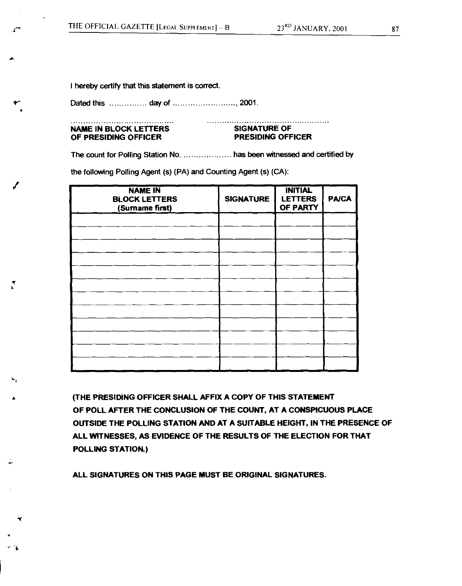I hereby certify that this statement is correct

Dated this day of , 2001.

### **NAME IN BLOCK LETTERS SIGNATURE OF OF PRESIDING OFFICER PRESIDING OFFICER**

**it** 

**r** 

r.

The count for Polling Station No. .................... has been witnessed and certified by

the following Polling Agent (s) (PA) and Counting Agent (s) (CA):

| <b>NAME IN</b><br><b>BLOCK LETTERS</b><br>(Surname first) | <b>SIGNATURE</b> | <b>INITIAL</b><br><b>LETTERS</b><br>OF PARTY | <b>PA/CA</b> |
|-----------------------------------------------------------|------------------|----------------------------------------------|--------------|
|                                                           |                  |                                              |              |
|                                                           |                  |                                              |              |
|                                                           |                  |                                              |              |
|                                                           |                  |                                              |              |
|                                                           |                  |                                              |              |
|                                                           |                  |                                              |              |
|                                                           |                  |                                              |              |
|                                                           |                  |                                              |              |
|                                                           |                  |                                              |              |
|                                                           |                  |                                              |              |
|                                                           |                  |                                              |              |
|                                                           |                  |                                              |              |

**(THE PRESIDING OFFICER SHALL AFFIX A COPY OF THIS STATEMENT OF POLL AFTER THE CONCLUSION OF THE COUNT, AT A CONSPICUOUS PLACE OUTSIDE THE POLLING STATION AND AT A SUITABLE HEIGHT, IN THE PRESENCE OF ALL WITNESSES, AS EVIDENCE OF THE RESULTS OF THE ELECTION FOR THAT POLLING STATION.)** 

**ALL SIGNATURES ON THIS PAGE MUST BE ORIGINAL SIGNATURES.**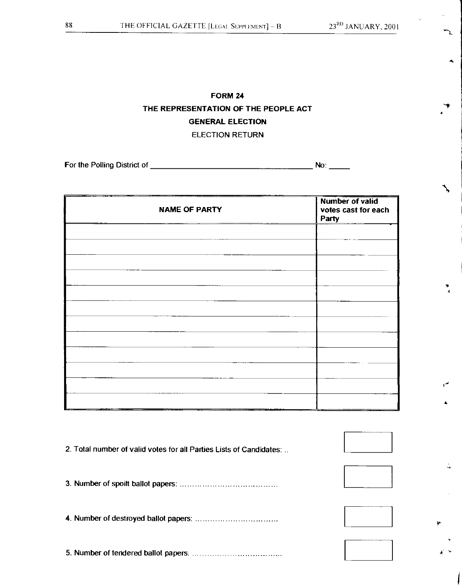Z.

 $\frac{1}{\sqrt{2}}$ 

# **FORM 24 THE REPRESENTATION OF THE PEOPLE ACT GENERAL ELECTION**  ELECTION RETURN

For the Polling District of No:

| <b>NAME OF PARTY</b> | <b>Number of valid</b><br>votes cast for each<br>Party |
|----------------------|--------------------------------------------------------|
|                      |                                                        |
|                      |                                                        |
|                      |                                                        |
|                      |                                                        |
|                      |                                                        |
|                      |                                                        |
|                      |                                                        |
|                      |                                                        |
|                      |                                                        |
|                      |                                                        |

| 2. Total number of valid votes for all Parties Lists of Candidates: |  |
|---------------------------------------------------------------------|--|
|                                                                     |  |
|                                                                     |  |
|                                                                     |  |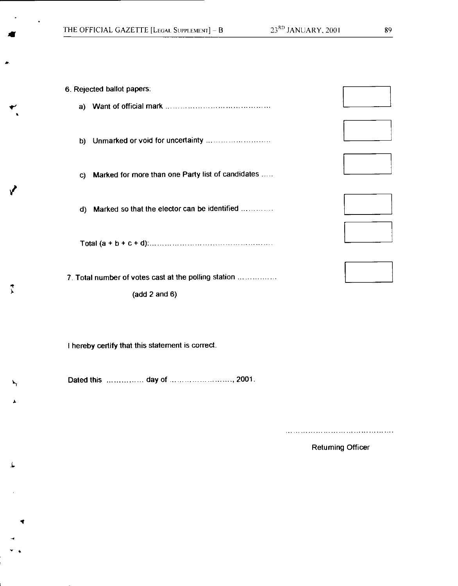|    | 6. Rejected ballot papers:                           |  |  |
|----|------------------------------------------------------|--|--|
| a) |                                                      |  |  |
| b) |                                                      |  |  |
| C) | Marked for more than one Party list of candidates    |  |  |
| d) | Marked so that the elector can be identified         |  |  |
|    |                                                      |  |  |
|    | 7. Total number of votes cast at the polling station |  |  |
|    | (add 2 and 6)                                        |  |  |

I hereby certify that this statement is correct.

IP

 $\overline{y}$ 

V

Dated this ... day of ......... ..... 2001.

Returning Officer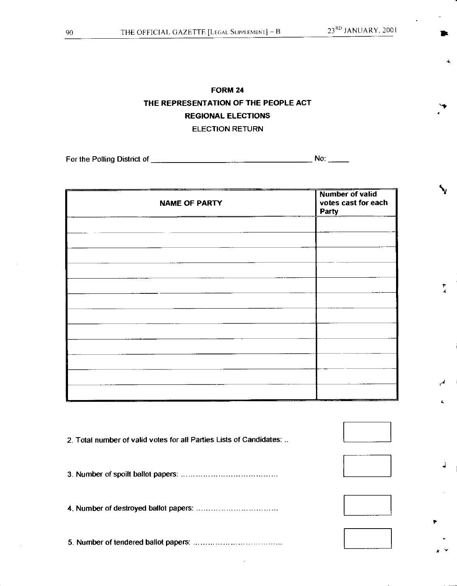$\mathbf{I}$ 

4

 $\overline{\mathbf{A}}$ 

 $\overline{\phantom{a}}$ 

# **FORM 24 THE REPRESENTATION OF THE PEOPLE ACT REGIONAL ELECTIONS**  ELECTION RETURN

For the Polling District of  $\frac{1}{1}$  No:  $\frac{1}{1}$  No:  $\frac{1}{1}$  No:  $\frac{1}{1}$ 

| <b>NAME OF PARTY</b> | <b>Number of valid</b><br>votes cast for each<br>Party |
|----------------------|--------------------------------------------------------|
|                      |                                                        |
|                      |                                                        |
|                      |                                                        |
|                      |                                                        |
|                      |                                                        |
|                      |                                                        |
|                      |                                                        |
|                      |                                                        |
|                      |                                                        |
|                      |                                                        |
|                      |                                                        |

| 2. Total number of valid votes for all Parties Lists of Candidates: |  |
|---------------------------------------------------------------------|--|
|                                                                     |  |
|                                                                     |  |
|                                                                     |  |